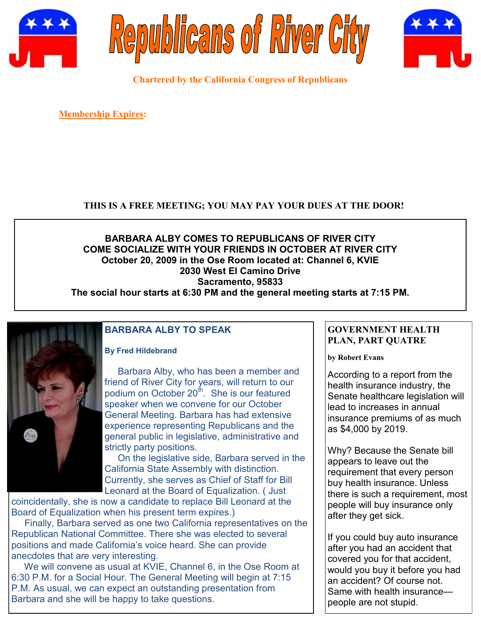





**Chartered by the California Congress of Republicans**

**Membership Expires:** 

#### **THIS IS A FREE MEETING; YOU MAY PAY YOUR DUES AT THE DOOR!**

## **BARBARA ALBY COMES TO REPUBLICANS OF RIVER CITY COME SOCIALIZE WITH YOUR FRIENDS IN OCTOBER AT RIVER CITY October 20, 2009 in the Ose Room located at: Channel 6, KVIE 2030 West El Camino Drive Sacramento, 95833**

**The social hour starts at 6:30 PM and the general meeting starts at 7:15 PM.**



## **BARBARA ALBY TO SPEAK**

#### **By Fred Hildebrand**

 Barbara Alby, who has been a member and friend of River City for years, will return to our podium on October 20<sup>th</sup>. She is our featured speaker when we convene for our October General Meeting. Barbara has had extensive experience representing Republicans and the general public in legislative, administrative and strictly party positions.

 On the legislative side, Barbara served in the California State Assembly with distinction. Currently, she serves as Chief of Staff for Bill Leonard at the Board of Equalization. ( Just

coincidentally, she is now a candidate to replace Bill Leonard at the Board of Equalization when his present term expires.)

 Finally, Barbara served as one two California representatives on the Republican National Committee. There she was elected to several positions and made California's voice heard. She can provide anecdotes that are very interesting.

 We will convene as usual at KVIE, Channel 6, in the Ose Room at 6:30 P.M. for a Social Hour. The General Meeting will begin at 7:15 P.M. As usual, we can expect an outstanding presentation from Barbara and she will be happy to take questions.

#### **GOVERNMENT HEALTH PLAN, PART QUATRE**

**by Robert Evans**

According to a report from the health insurance industry, the Senate healthcare legislation will lead to increases in annual insurance premiums of as much as \$4,000 by 2019.

Why? Because the Senate bill appears to leave out the requirement that every person buy health insurance. Unless there is such a requirement, most people will buy insurance only after they get sick.

If you could buy auto insurance after you had an accident that covered you for that accident, would you buy it before you had an accident? Of course not. Same with health insurance people are not stupid.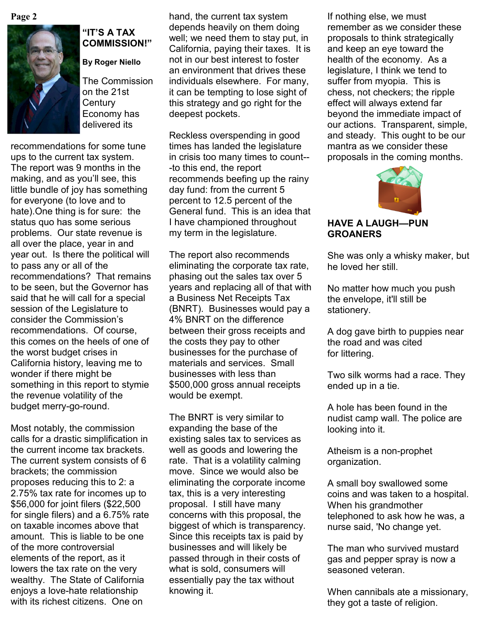

#### **"IT'S A TAX COMMISSION!"**

#### **By Roger Niello**

The Commission on the 21st **Century** Economy has delivered its

recommendations for some tune ups to the current tax system. The report was 9 months in the making, and as you'll see, this little bundle of joy has something for everyone (to love and to hate).One thing is for sure: the status quo has some serious problems. Our state revenue is all over the place, year in and year out. Is there the political will to pass any or all of the recommendations? That remains to be seen, but the Governor has said that he will call for a special session of the Legislature to consider the Commission's recommendations. Of course, this comes on the heels of one of the worst budget crises in California history, leaving me to wonder if there might be something in this report to stymie the revenue volatility of the budget merry-go-round.

Most notably, the commission calls for a drastic simplification in the current income tax brackets. The current system consists of 6 brackets; the commission proposes reducing this to 2: a 2.75% tax rate for incomes up to \$56,000 for joint filers (\$22,500 for single filers) and a 6.75% rate on taxable incomes above that amount. This is liable to be one of the more controversial elements of the report, as it lowers the tax rate on the very wealthy. The State of California enjoys a love-hate relationship with its richest citizens. One on

**Page 2** If nothing else, we must hand, the current tax system If nothing else, we must depends heavily on them doing well; we need them to stay put, in California, paying their taxes. It is not in our best interest to foster an environment that drives these individuals elsewhere. For many, it can be tempting to lose sight of this strategy and go right for the deepest pockets.

> Reckless overspending in good times has landed the legislature in crisis too many times to count-- -to this end, the report recommends beefing up the rainy day fund: from the current 5 percent to 12.5 percent of the General fund. This is an idea that I have championed throughout my term in the legislature.

> The report also recommends eliminating the corporate tax rate, phasing out the sales tax over 5 years and replacing all of that with a Business Net Receipts Tax (BNRT). Businesses would pay a 4% BNRT on the difference between their gross receipts and the costs they pay to other businesses for the purchase of materials and services. Small businesses with less than \$500,000 gross annual receipts would be exempt.

The BNRT is very similar to expanding the base of the existing sales tax to services as well as goods and lowering the rate. That is a volatility calming move. Since we would also be eliminating the corporate income tax, this is a very interesting proposal. I still have many concerns with this proposal, the biggest of which is transparency. Since this receipts tax is paid by businesses and will likely be passed through in their costs of what is sold, consumers will essentially pay the tax without knowing it.

remember as we consider these proposals to think strategically and keep an eye toward the health of the economy. As a legislature, I think we tend to suffer from myopia. This is chess, not checkers; the ripple effect will always extend far beyond the immediate impact of our actions. Transparent, simple, and steady. This ought to be our mantra as we consider these proposals in the coming months.



#### **HAVE A LAUGH—PUN GROANERS**

She was only a whisky maker, but he loved her still.

No matter how much you push the envelope, it'll still be stationery.

A dog gave birth to puppies near the road and was cited for littering.

Two silk worms had a race. They ended up in a tie.

A hole has been found in the nudist camp wall. The police are looking into it.

Atheism is a non-prophet organization.

A small boy swallowed some coins and was taken to a hospital. When his grandmother telephoned to ask how he was, a nurse said, 'No change yet.

The man who survived mustard gas and pepper spray is now a seasoned veteran.

When cannibals ate a missionary, they got a taste of religion.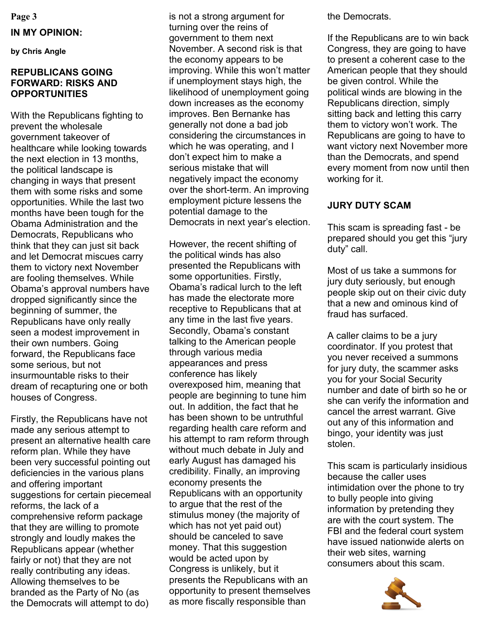**Page 3**

#### **IN MY OPINION:**

**by Chris Angle**

#### **REPUBLICANS GOING FORWARD: RISKS AND OPPORTUNITIES**

With the Republicans fighting to prevent the wholesale government takeover of healthcare while looking towards the next election in 13 months, the political landscape is changing in ways that present them with some risks and some opportunities. While the last two months have been tough for the Obama Administration and the Democrats, Republicans who think that they can just sit back and let Democrat miscues carry them to victory next November are fooling themselves. While Obama's approval numbers have dropped significantly since the beginning of summer, the Republicans have only really seen a modest improvement in their own numbers. Going forward, the Republicans face some serious, but not insurmountable risks to their dream of recapturing one or both houses of Congress.

Firstly, the Republicans have not made any serious attempt to present an alternative health care reform plan. While they have been very successful pointing out deficiencies in the various plans and offering important suggestions for certain piecemeal reforms, the lack of a comprehensive reform package that they are willing to promote strongly and loudly makes the Republicans appear (whether fairly or not) that they are not really contributing any ideas. Allowing themselves to be branded as the Party of No (as the Democrats will attempt to do)

is not a strong argument for turning over the reins of government to them next November. A second risk is that the economy appears to be improving. While this won't matter if unemployment stays high, the likelihood of unemployment going down increases as the economy improves. Ben Bernanke has generally not done a bad job considering the circumstances in which he was operating, and I don't expect him to make a serious mistake that will negatively impact the economy over the short-term. An improving employment picture lessens the potential damage to the Democrats in next year's election.

However, the recent shifting of the political winds has also presented the Republicans with some opportunities. Firstly, Obama's radical lurch to the left has made the electorate more receptive to Republicans that at any time in the last five years. Secondly, Obama's constant talking to the American people through various media appearances and press conference has likely overexposed him, meaning that people are beginning to tune him out. In addition, the fact that he has been shown to be untruthful regarding health care reform and his attempt to ram reform through without much debate in July and early August has damaged his credibility. Finally, an improving economy presents the Republicans with an opportunity to argue that the rest of the stimulus money (the majority of which has not yet paid out) should be canceled to save money. That this suggestion would be acted upon by Congress is unlikely, but it presents the Republicans with an opportunity to present themselves as more fiscally responsible than

the Democrats.

If the Republicans are to win back Congress, they are going to have to present a coherent case to the American people that they should be given control. While the political winds are blowing in the Republicans direction, simply sitting back and letting this carry them to victory won't work. The Republicans are going to have to want victory next November more than the Democrats, and spend every moment from now until then working for it.

## **JURY DUTY SCAM**

This scam is spreading fast - be prepared should you get this "jury duty" call.

Most of us take a summons for jury duty seriously, but enough people skip out on their civic duty that a new and ominous kind of fraud has surfaced.

A caller claims to be a jury coordinator. If you protest that you never received a summons for jury duty, the scammer asks you for your Social Security number and date of birth so he or she can verify the information and cancel the arrest warrant. Give out any of this information and bingo, your identity was just stolen.

This scam is particularly insidious because the caller uses intimidation over the phone to try to bully people into giving information by pretending they are with the court system. The FBI and the federal court system have issued nationwide alerts on their web sites, warning consumers about this scam.

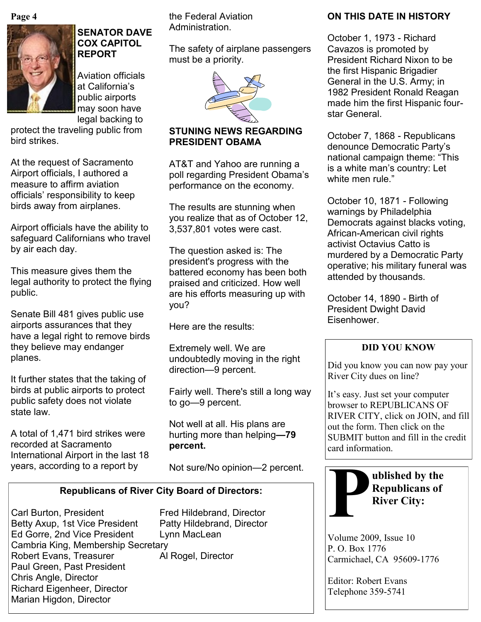**Page 4**



## **SENATOR DAVE COX CAPITOL REPORT**

Aviation officials at California's public airports may soon have legal backing to

protect the traveling public from bird strikes.

At the request of Sacramento Airport officials, I authored a measure to affirm aviation officials' responsibility to keep birds away from airplanes.

Airport officials have the ability to safeguard Californians who travel by air each day.

This measure gives them the legal authority to protect the flying public.

Senate Bill 481 gives public use airports assurances that they have a legal right to remove birds they believe may endanger planes.

It further states that the taking of birds at public airports to protect public safety does not violate state law.

A total of 1,471 bird strikes were recorded at Sacramento International Airport in the last 18 years, according to a report by

the Federal Aviation Administration.

The safety of airplane passengers must be a priority.



#### **STUNING NEWS REGARDING PRESIDENT OBAMA**

AT&T and Yahoo are running a poll regarding President Obama's performance on the economy.

The results are stunning when you realize that as of October 12, 3,537,801 votes were cast.

The question asked is: The president's progress with the battered economy has been both praised and criticized. How well are his efforts measuring up with you?

Here are the results:

Extremely well. We are undoubtedly moving in the right direction—9 percent.

Fairly well. There's still a long way to go—9 percent.

Not well at all. His plans are hurting more than helping**—79 percent.**

Not sure/No opinion—2 percent.

## **Republicans of River City Board of Directors:**

Carl Burton, President Fred Hildebrand, Director Betty Axup, 1st Vice President Patty Hildebrand, Director Ed Gorre, 2nd Vice President Lynn MacLean Cambria King, Membership Secretary Robert Evans, Treasurer Al Rogel, Director Paul Green, Past President Chris Angle, Director Richard Eigenheer, Director Marian Higdon, Director

## **ON THIS DATE IN HISTORY**

October 1, 1973 - Richard Cavazos is promoted by President Richard Nixon to be the first Hispanic Brigadier General in the U.S. Army; in 1982 President Ronald Reagan made him the first Hispanic fourstar General.

October 7, 1868 - Republicans denounce Democratic Party's national campaign theme: "This is a white man's country: Let white men rule."

October 10, 1871 - Following warnings by Philadelphia Democrats against blacks voting, African-American civil rights activist Octavius Catto is murdered by a Democratic Party operative; his military funeral was attended by thousands.

October 14, 1890 - Birth of President Dwight David Eisenhower.

## **DID YOU KNOW**

Did you know you can now pay your River City dues on line?

It's easy. Just set your computer browser to REPUBLICANS OF RIVER CITY, click on JOIN, and fill out the form. Then click on the SUBMIT button and fill in the credit card information.



**ublished by the Republicans of River City:**

Volume 2009, Issue 10 P. O. Box 1776 Carmichael, CA 95609-1776

Editor: Robert Evans Telephone 359-5741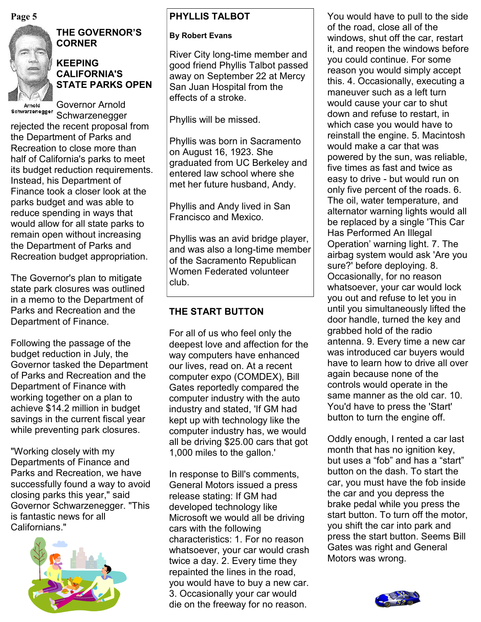

# **THE GOVERNOR'S CORNER**

#### **KEEPING CALIFORNIA'S STATE PARKS OPEN**

Arnold Schwarzenegger

Governor Arnold

Schwarzenegger rejected the recent proposal from the Department of Parks and Recreation to close more than half of California's parks to meet its budget reduction requirements. Instead, his Department of Finance took a closer look at the parks budget and was able to reduce spending in ways that would allow for all state parks to remain open without increasing the Department of Parks and Recreation budget appropriation.

The Governor's plan to mitigate state park closures was outlined in a memo to the Department of Parks and Recreation and the Department of Finance.

Following the passage of the budget reduction in July, the Governor tasked the Department of Parks and Recreation and the Department of Finance with working together on a plan to achieve \$14.2 million in budget savings in the current fiscal year while preventing park closures.

"Working closely with my Departments of Finance and Parks and Recreation, we have successfully found a way to avoid closing parks this year," said Governor Schwarzenegger. "This is fantastic news for all Californians."



## **PHYLLIS TALBOT**

#### **By Robert Evans**

River City long-time member and good friend Phyllis Talbot passed away on September 22 at Mercy San Juan Hospital from the effects of a stroke.

Phyllis will be missed.

Phyllis was born in Sacramento on August 16, 1923. She graduated from UC Berkeley and entered law school where she met her future husband, Andy.

Phyllis and Andy lived in San Francisco and Mexico.

Phyllis was an avid bridge player, and was also a long-time member of the Sacramento Republican Women Federated volunteer club.

## **THE START BUTTON**

For all of us who feel only the deepest love and affection for the way computers have enhanced our lives, read on. At a recent computer expo (COMDEX), Bill Gates reportedly compared the computer industry with the auto industry and stated, 'If GM had kept up with technology like the computer industry has, we would all be driving \$25.00 cars that got 1,000 miles to the gallon.'

In response to Bill's comments, General Motors issued a press release stating: If GM had developed technology like Microsoft we would all be driving cars with the following characteristics: 1. For no reason whatsoever, your car would crash twice a day. 2. Every time they repainted the lines in the road, you would have to buy a new car. 3. Occasionally your car would die on the freeway for no reason.

**Page 5** Notation **PHYLLIS TALBOT** 2 You would have to pull to the side of the road, close all of the windows, shut off the car, restart it, and reopen the windows before you could continue. For some reason you would simply accept this. 4. Occasionally, executing a maneuver such as a left turn would cause your car to shut down and refuse to restart, in which case you would have to reinstall the engine. 5. Macintosh would make a car that was powered by the sun, was reliable, five times as fast and twice as easy to drive - but would run on only five percent of the roads. 6. The oil, water temperature, and alternator warning lights would all be replaced by a single 'This Car Has Performed An Illegal Operation' warning light. 7. The airbag system would ask 'Are you sure?' before deploying. 8. Occasionally, for no reason whatsoever, your car would lock you out and refuse to let you in until you simultaneously lifted the door handle, turned the key and grabbed hold of the radio antenna. 9. Every time a new car was introduced car buyers would have to learn how to drive all over again because none of the controls would operate in the same manner as the old car. 10. You'd have to press the 'Start' button to turn the engine off.

> Oddly enough, I rented a car last month that has no ignition key, but uses a "fob" and has a "start" button on the dash. To start the car, you must have the fob inside the car and you depress the brake pedal while you press the start button. To turn off the motor, you shift the car into park and press the start button. Seems Bill Gates was right and General Motors was wrong.